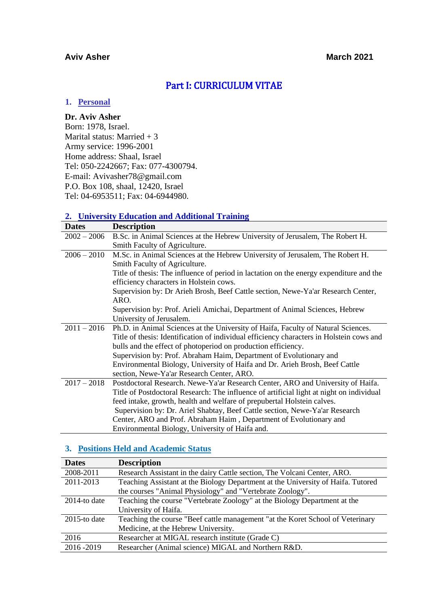## **Aviv Asher March** 2021

# Part I: CURRICULUM VITAE

## **1. Personal**

## **Dr. Aviv Asher**

Born: 1978, Israel. Marital status: Married + 3 Army service: 1996-2001 Home address: Shaal, Israel Tel: 050-2242667; Fax: 077-4300794. E-mail: Avivasher78@gmail.com P.O. Box 108, shaal, 12420, Israel Tel: 04-6953511; Fax: 04-6944980.

# **2. University Education and Additional Training**

| <b>Dates</b>  | <b>Description</b>                                                                       |
|---------------|------------------------------------------------------------------------------------------|
| $2002 - 2006$ | B.Sc. in Animal Sciences at the Hebrew University of Jerusalem, The Robert H.            |
|               | Smith Faculty of Agriculture.                                                            |
| $2006 - 2010$ | M.Sc. in Animal Sciences at the Hebrew University of Jerusalem, The Robert H.            |
|               | Smith Faculty of Agriculture.                                                            |
|               | Title of thesis: The influence of period in lactation on the energy expenditure and the  |
|               | efficiency characters in Holstein cows.                                                  |
|               | Supervision by: Dr Arieh Brosh, Beef Cattle section, Newe-Ya'ar Research Center,         |
|               | ARO.                                                                                     |
|               | Supervision by: Prof. Arieli Amichai, Department of Animal Sciences, Hebrew              |
|               | University of Jerusalem.                                                                 |
| $2011 - 2016$ | Ph.D. in Animal Sciences at the University of Haifa, Faculty of Natural Sciences.        |
|               | Title of thesis: Identification of individual efficiency characters in Holstein cows and |
|               | bulls and the effect of photoperiod on production efficiency.                            |
|               | Supervision by: Prof. Abraham Haim, Department of Evolutionary and                       |
|               | Environmental Biology, University of Haifa and Dr. Arieh Brosh, Beef Cattle              |
|               | section, Newe-Ya'ar Research Center, ARO.                                                |
| $2017 - 2018$ | Postdoctoral Research. Newe-Ya'ar Research Center, ARO and University of Haifa.          |
|               | Title of Postdoctoral Research: The influence of artificial light at night on individual |
|               | feed intake, growth, health and welfare of prepubertal Holstein calves.                  |
|               | Supervision by: Dr. Ariel Shabtay, Beef Cattle section, Newe-Ya'ar Research              |
|               | Center, ARO and Prof. Abraham Haim, Department of Evolutionary and                       |
|               | Environmental Biology, University of Haifa and.                                          |

## **3. Positions Held and Academic Status**

| <b>Dates</b>    | <b>Description</b>                                                               |
|-----------------|----------------------------------------------------------------------------------|
| 2008-2011       | Research Assistant in the dairy Cattle section, The Volcani Center, ARO.         |
| 2011-2013       | Teaching Assistant at the Biology Department at the University of Haifa. Tutored |
|                 | the courses "Animal Physiology" and "Vertebrate Zoology".                        |
| $2014$ -to date | Teaching the course "Vertebrate Zoology" at the Biology Department at the        |
|                 | University of Haifa.                                                             |
| $2015$ -to date | Teaching the course "Beef cattle management "at the Koret School of Veterinary   |
|                 | Medicine, at the Hebrew University.                                              |
| 2016            | Researcher at MIGAL research institute (Grade C)                                 |
| 2016-2019       | Researcher (Animal science) MIGAL and Northern R&D.                              |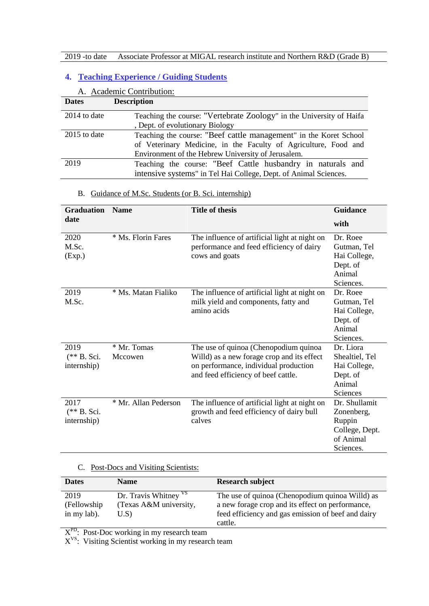# **4. Teaching Experience / Guiding Students**

|                | A. Academic Contribution:                                            |
|----------------|----------------------------------------------------------------------|
| <b>Dates</b>   | <b>Description</b>                                                   |
| $2014$ to date | Teaching the course: "Vertebrate Zoology" in the University of Haifa |
|                | , Dept. of evolutionary Biology                                      |
| $2015$ to date | Teaching the course: "Beef cattle management" in the Koret School    |
|                | of Veterinary Medicine, in the Faculty of Agriculture, Food and      |
|                | Environment of the Hebrew University of Jerusalem.                   |
| 2019           | Teaching the course: "Beef Cattle husbandry in naturals and          |
|                | intensive systems" in Tel Hai College, Dept. of Animal Sciences.     |

## B. Guidance of M.Sc. Students (or B. Sci. internship)

| <b>Graduation</b> | <b>Name</b>          | <b>Title of thesis</b>                        | <b>Guidance</b> |
|-------------------|----------------------|-----------------------------------------------|-----------------|
| date              |                      |                                               | with            |
| 2020              | * Ms. Florin Fares   | The influence of artificial light at night on | Dr. Roee        |
| M.Sc.             |                      | performance and feed efficiency of dairy      | Gutman, Tel     |
| (Exp.)            |                      | cows and goats                                | Hai College,    |
|                   |                      |                                               | Dept. of        |
|                   |                      |                                               | Animal          |
|                   |                      |                                               | Sciences.       |
| 2019              | * Ms. Matan Fialiko  | The influence of artificial light at night on | Dr. Roee        |
| M.Sc.             |                      | milk yield and components, fatty and          | Gutman, Tel     |
|                   |                      | amino acids                                   | Hai College,    |
|                   |                      |                                               | Dept. of        |
|                   |                      |                                               | Animal          |
|                   |                      |                                               | Sciences.       |
| 2019              | * Mr. Tomas          | The use of quinoa (Chenopodium quinoa         | Dr. Liora       |
| $(** B. Sci.$     | Mccowen              | Willd) as a new forage crop and its effect    | Shealtiel, Tel  |
| internship)       |                      | on performance, individual production         | Hai College,    |
|                   |                      | and feed efficiency of beef cattle.           | Dept. of        |
|                   |                      |                                               | Animal          |
|                   |                      |                                               | <b>Sciences</b> |
| 2017              | * Mr. Allan Pederson | The influence of artificial light at night on | Dr. Shullamit   |
| $(** B. Sci.$     |                      | growth and feed efficiency of dairy bull      | Zonenberg,      |
| internship)       |                      | calves                                        | Ruppin          |
|                   |                      |                                               | College, Dept.  |
|                   |                      |                                               | of Animal       |
|                   |                      |                                               | Sciences.       |

## C. Post-Docs and Visiting Scientists:

| <b>Dates</b> | <b>Name</b>                      | <b>Research subject</b>                            |
|--------------|----------------------------------|----------------------------------------------------|
| 2019         | Dr. Travis Whitney <sup>VS</sup> | The use of quinoa (Chenopodium quinoa Willd) as    |
| (Fellowship) | (Texas A&M university,           | a new forage crop and its effect on performance,   |
| in my lab).  | U.S                              | feed efficiency and gas emission of beef and dairy |
|              |                                  | cattle.                                            |

 $X^{PD}$ : Post-Doc working in my research team

X<sup>VS</sup>: Visiting Scientist working in my research team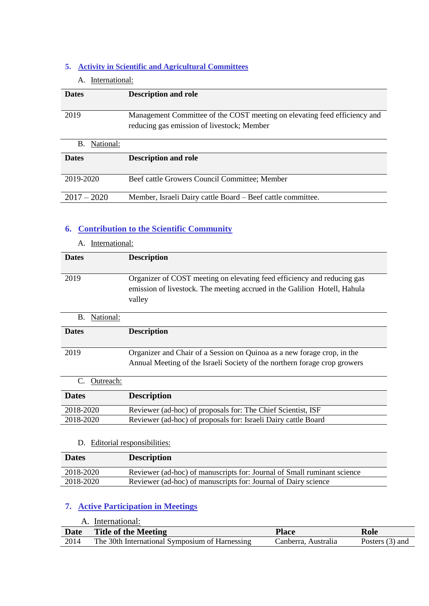## **5. Activity in Scientific and Agricultural Committees**

## A. International:

| <b>Dates</b>    | <b>Description and role</b>                                                                                             |
|-----------------|-------------------------------------------------------------------------------------------------------------------------|
| 2019            | Management Committee of the COST meeting on elevating feed efficiency and<br>reducing gas emission of livestock; Member |
| National:<br>B. |                                                                                                                         |
| <b>Dates</b>    | <b>Description and role</b>                                                                                             |
| 2019-2020       | Beef cattle Growers Council Committee; Member                                                                           |
| $2017 - 2020$   | Member, Israeli Dairy cattle Board – Beef cattle committee.                                                             |

# **6. Contribution to the Scientific Community**

|              | International: |                                                                                                                                                                |
|--------------|----------------|----------------------------------------------------------------------------------------------------------------------------------------------------------------|
| <b>Dates</b> |                | <b>Description</b>                                                                                                                                             |
| 2019         |                | Organizer of COST meeting on elevating feed efficiency and reducing gas<br>emission of livestock. The meeting accrued in the Galilion Hotell, Hahula<br>valley |
| В.           | National:      |                                                                                                                                                                |
| <b>Dates</b> |                | <b>Description</b>                                                                                                                                             |
| 2019         |                | Organizer and Chair of a Session on Quinoa as a new forage crop, in the<br>Annual Meeting of the Israeli Society of the northern forage crop growers           |
|              | Outreach:      |                                                                                                                                                                |

| C. Outlettu. |                                                                |
|--------------|----------------------------------------------------------------|
| <b>Dates</b> | <b>Description</b>                                             |
| 2018-2020    | Reviewer (ad-hoc) of proposals for: The Chief Scientist, ISF   |
| 2018-2020    | Reviewer (ad-hoc) of proposals for: Israeli Dairy cattle Board |
|              |                                                                |

## D. Editorial responsibilities:

| <b>Dates</b> | <b>Description</b>                                                      |
|--------------|-------------------------------------------------------------------------|
| 2018-2020    | Reviewer (ad-hoc) of manuscripts for: Journal of Small ruminant science |
| 2018-2020    | Reviewer (ad-hoc) of manuscripts for: Journal of Dairy science          |

# **7. Active Participation in Meetings**

|             | International:                                 |                     |                 |
|-------------|------------------------------------------------|---------------------|-----------------|
| <b>Date</b> | <b>Title of the Meeting</b>                    | <b>Place</b>        | Role            |
| 2014        | The 30th International Symposium of Harnessing | Canberra. Australia | Posters (3) and |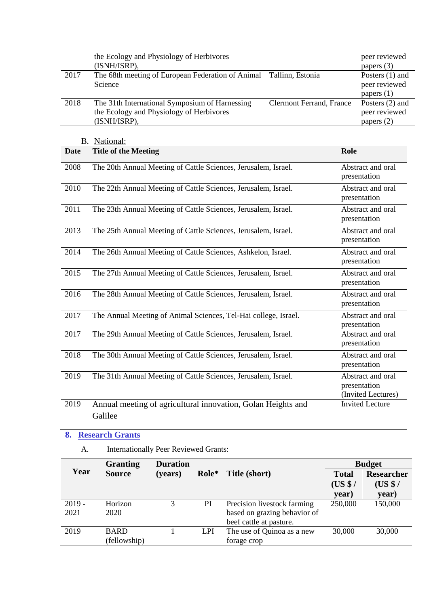| 2019             | <b>BARD</b>                                                       | 1                                            | <b>LPI</b> | beef cattle at pasture. | The use of Quinoa as a new                                  | 30,000           | 30,000                            |
|------------------|-------------------------------------------------------------------|----------------------------------------------|------------|-------------------------|-------------------------------------------------------------|------------------|-----------------------------------|
| $2019 -$<br>2021 | Horizon<br>2020                                                   | 3                                            | PI         |                         | Precision livestock farming<br>based on grazing behavior of | 250,000          | 150,000                           |
|                  |                                                                   |                                              |            |                         |                                                             | (US \$/<br>year) | (US \$/<br>year)                  |
| Year             | <b>Source</b>                                                     | (years)                                      | Role*      | Title (short)           |                                                             | <b>Total</b>     | <b>Researcher</b>                 |
|                  | <b>Granting</b>                                                   | <b>Duration</b>                              |            |                         |                                                             |                  | <b>Budget</b>                     |
| A.               |                                                                   | <b>Internationally Peer Reviewed Grants:</b> |            |                         |                                                             |                  |                                   |
| 8.               | <b>Research Grants</b>                                            |                                              |            |                         |                                                             |                  |                                   |
|                  | Galilee                                                           |                                              |            |                         |                                                             |                  |                                   |
| 2019             | Annual meeting of agricultural innovation, Golan Heights and      |                                              |            |                         |                                                             |                  | <b>Invited Lecture</b>            |
|                  |                                                                   |                                              |            |                         |                                                             |                  | (Invited Lectures)                |
| 2019             | The 31th Annual Meeting of Cattle Sciences, Jerusalem, Israel.    |                                              |            |                         |                                                             |                  | Abstract and oral<br>presentation |
|                  |                                                                   |                                              |            |                         |                                                             |                  | presentation                      |
| 2018             | The 30th Annual Meeting of Cattle Sciences, Jerusalem, Israel.    |                                              |            |                         |                                                             |                  | Abstract and oral                 |
| 2017             | The 29th Annual Meeting of Cattle Sciences, Jerusalem, Israel.    |                                              |            |                         |                                                             |                  | Abstract and oral<br>presentation |
|                  |                                                                   |                                              |            |                         |                                                             |                  | presentation                      |
| 2017             | The Annual Meeting of Animal Sciences, Tel-Hai college, Israel.   |                                              |            |                         |                                                             |                  | Abstract and oral                 |
| 2016             | The 28th Annual Meeting of Cattle Sciences, Jerusalem, Israel.    |                                              |            |                         |                                                             |                  | Abstract and oral<br>presentation |
|                  |                                                                   |                                              |            |                         |                                                             |                  | presentation                      |
| 2015             | The 27th Annual Meeting of Cattle Sciences, Jerusalem, Israel.    |                                              |            |                         |                                                             |                  | Abstract and oral                 |
| 2014             | The 26th Annual Meeting of Cattle Sciences, Ashkelon, Israel.     |                                              |            |                         |                                                             |                  | Abstract and oral<br>presentation |
|                  |                                                                   |                                              |            |                         |                                                             |                  | presentation                      |
| 2013             | The 25th Annual Meeting of Cattle Sciences, Jerusalem, Israel.    |                                              |            |                         |                                                             |                  | Abstract and oral                 |
|                  |                                                                   |                                              |            |                         |                                                             |                  | presentation                      |
| 2011             | The 23th Annual Meeting of Cattle Sciences, Jerusalem, Israel.    |                                              |            |                         |                                                             |                  | presentation<br>Abstract and oral |
| 2010             | The 22th Annual Meeting of Cattle Sciences, Jerusalem, Israel.    |                                              |            |                         |                                                             |                  | Abstract and oral                 |
| 2008             | The 20th Annual Meeting of Cattle Sciences, Jerusalem, Israel.    |                                              |            |                         |                                                             |                  | Abstract and oral<br>presentation |
| <b>Date</b>      | <b>Title of the Meeting</b>                                       |                                              |            |                         |                                                             | Role             |                                   |
|                  | B. National:                                                      |                                              |            |                         |                                                             |                  |                                   |
|                  | (ISNH/ISRP),                                                      |                                              |            |                         |                                                             |                  | papers (2)                        |
|                  | the Ecology and Physiology of Herbivores                          |                                              |            |                         |                                                             |                  | peer reviewed                     |
| 2018             | The 31th International Symposium of Harnessing                    |                                              |            |                         | <b>Clermont Ferrand, France</b>                             |                  | papers $(1)$<br>Posters (2) and   |
|                  | Science                                                           |                                              |            |                         |                                                             |                  | peer reviewed                     |
| 2017             | (ISNH/ISRP),<br>The 68th meeting of European Federation of Animal |                                              |            |                         | Tallinn, Estonia                                            |                  | papers (3)<br>Posters (1) and     |
|                  | the Ecology and Physiology of Herbivores                          |                                              |            |                         |                                                             |                  | peer reviewed                     |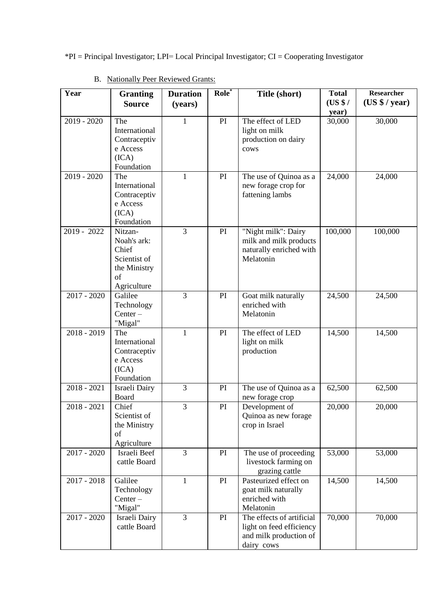\*PI = Principal Investigator; LPI= Local Principal Investigator; CI = Cooperating Investigator

| Year          | <b>Granting</b><br><b>Source</b>                                                     | <b>Duration</b><br>(years) | Role <sup>*</sup> | Title (short)                                                                                 | <b>Total</b><br>(US \$/<br>year) | <b>Researcher</b><br>(US \$ / year) |
|---------------|--------------------------------------------------------------------------------------|----------------------------|-------------------|-----------------------------------------------------------------------------------------------|----------------------------------|-------------------------------------|
| $2019 - 2020$ | The<br>International<br>Contraceptiv<br>e Access<br>(ICA)<br>Foundation              | 1                          | PI                | The effect of LED<br>light on milk<br>production on dairy<br>cows                             | 30,000                           | 30,000                              |
| $2019 - 2020$ | The<br>International<br>Contraceptiv<br>e Access<br>(ICA)<br>Foundation              | 1                          | PI                | The use of Quinoa as a<br>new forage crop for<br>fattening lambs                              | 24,000                           | 24,000                              |
| 2019 - 2022   | Nitzan-<br>Noah's ark:<br>Chief<br>Scientist of<br>the Ministry<br>of<br>Agriculture | 3                          | PI                | "Night milk": Dairy<br>milk and milk products<br>naturally enriched with<br>Melatonin         | 100,000                          | 100,000                             |
| $2017 - 2020$ | Galilee<br>Technology<br>$Center -$<br>"Migal"                                       | $\overline{3}$             | PI                | Goat milk naturally<br>enriched with<br>Melatonin                                             | 24,500                           | 24,500                              |
| $2018 - 2019$ | The<br>International<br>Contraceptiv<br>e Access<br>(ICA)<br>Foundation              | 1                          | PI                | The effect of LED<br>light on milk<br>production                                              | 14,500                           | 14,500                              |
| $2018 - 2021$ | Israeli Dairy<br>Board                                                               | 3                          | PI                | The use of Quinoa as a<br>new forage crop                                                     | 62,500                           | 62,500                              |
| $2018 - 2021$ | Chief<br>Scientist of<br>the Ministry<br>of<br>Agriculture                           | 3                          | PI                | Development of<br>Quinoa as new forage<br>crop in Israel                                      | 20,000                           | 20,000                              |
| $2017 - 2020$ | Israeli Beef<br>cattle Board                                                         | 3                          | PI                | The use of proceeding<br>livestock farming on<br>grazing cattle                               | 53,000                           | 53,000                              |
| $2017 - 2018$ | Galilee<br>Technology<br>$Center -$<br>"Migal"                                       | $\mathbf{1}$               | PI                | Pasteurized effect on<br>goat milk naturally<br>enriched with<br>Melatonin                    | 14,500                           | 14,500                              |
| $2017 - 2020$ | Israeli Dairy<br>cattle Board                                                        | 3                          | PI                | The effects of artificial<br>light on feed efficiency<br>and milk production of<br>dairy cows | 70,000                           | 70,000                              |

# B. Nationally Peer Reviewed Grants: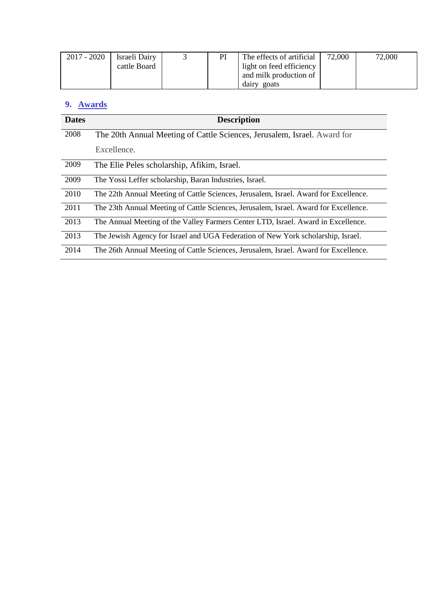| $2017 - 2020$ | Israeli Dairy |  | The effects of artificial | 72,000 | 72,000 |
|---------------|---------------|--|---------------------------|--------|--------|
|               | cattle Board  |  | light on feed efficiency  |        |        |
|               |               |  | and milk production of    |        |        |
|               |               |  | goats<br>dairy            |        |        |

# **9. Awards**

| <b>Dates</b> | <b>Description</b>                                                                   |
|--------------|--------------------------------------------------------------------------------------|
| 2008         | The 20th Annual Meeting of Cattle Sciences, Jerusalem, Israel. Award for             |
|              | Excellence.                                                                          |
| 2009         | The Elie Peles scholarship, Afikim, Israel.                                          |
| 2009         | The Yossi Leffer scholarship, Baran Industries, Israel.                              |
| 2010         | The 22th Annual Meeting of Cattle Sciences, Jerusalem, Israel. Award for Excellence. |
| 2011         | The 23th Annual Meeting of Cattle Sciences, Jerusalem, Israel. Award for Excellence. |
| 2013         | The Annual Meeting of the Valley Farmers Center LTD, Israel. Award in Excellence.    |
| 2013         | The Jewish Agency for Israel and UGA Federation of New York scholarship, Israel.     |
| 2014         | The 26th Annual Meeting of Cattle Sciences, Jerusalem, Israel. Award for Excellence. |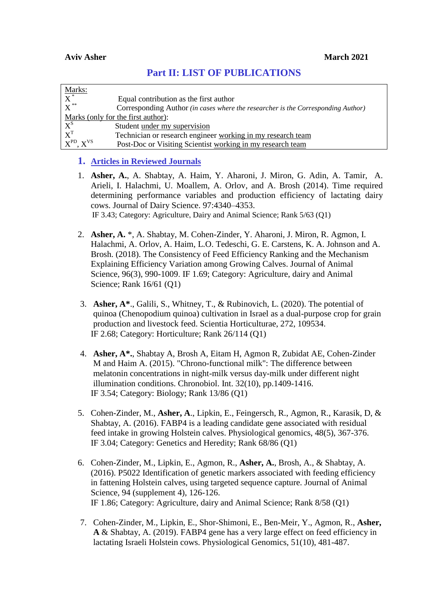| $\frac{\text{Marks:}}{\text{X}^*}$ |                                                                                  |  |  |
|------------------------------------|----------------------------------------------------------------------------------|--|--|
|                                    | Equal contribution as the first author                                           |  |  |
| $\overline{\mathrm{X}}^{**}$       | Corresponding Author (in cases where the researcher is the Corresponding Author) |  |  |
| Marks (only for the first author): |                                                                                  |  |  |
| $X^S$                              | Student under my supervision                                                     |  |  |
| $X^T$                              | Technician or research engineer working in my research team                      |  |  |
| $X^{PD}$ , $X^{VS}$                | Post-Doc or Visiting Scientist working in my research team                       |  |  |

# **Part II: LIST OF PUBLICATIONS**

## **1. Articles in Reviewed Journals**

- 1. **Asher, A.**, A. Shabtay, A. Haim, Y. Aharoni, J. Miron, G. Adin, A. Tamir, A. Arieli, I. Halachmi, U. Moallem, A. Orlov, and A. Brosh (2014). Time required determining performance variables and production efficiency of lactating dairy cows. Journal of Dairy Science. 97:4340–4353. IF 3.43; Category: Agriculture, Dairy and Animal Science; Rank 5/63 (Q1)
- 2. **Asher, A.** \*, A. Shabtay, M. Cohen-Zinder, Y. Aharoni, J. Miron, R. Agmon, I. Halachmi, A. Orlov, A. Haim, L.O. Tedeschi, G. E. Carstens, K. A. Johnson and A. Brosh. (2018). The Consistency of Feed Efficiency Ranking and the Mechanism Explaining Efficiency Variation among Growing Calves. Journal of Animal Science, 96(3), 990-1009. IF 1.69; Category: Agriculture, dairy and Animal Science; Rank 16/61 (Q1)
- 3. **Asher, A\***., Galili, S., Whitney, T., & Rubinovich, L. (2020). The potential of quinoa (Chenopodium quinoa) cultivation in Israel as a dual-purpose crop for grain production and livestock feed. Scientia Horticulturae, 272, 109534. IF 2.68; Category: Horticulture; Rank 26/114 (Q1)
- 4. **Asher, A\*.**, Shabtay A, Brosh A, Eitam H, Agmon R, Zubidat AE, Cohen-Zinder M and Haim A. (2015). "Chrono-functional milk": The difference between melatonin concentrations in night-milk versus day-milk under different night illumination conditions. Chronobiol. Int. 32(10), pp.1409-1416. IF 3.54; Category: Biology; Rank 13/86 (Q1)
- 5. Cohen-Zinder, M., **Asher, A**., Lipkin, E., Feingersch, R., Agmon, R., Karasik, D, & Shabtay, A. (2016). FABP4 is a leading candidate gene associated with residual feed intake in growing Holstein calves. Physiological genomics, 48(5), 367-376. IF 3.04; Category: Genetics and Heredity; Rank 68/86 (Q1)
- 6. Cohen-Zinder, M., Lipkin, E., Agmon, R., **Asher, A.**, Brosh, A., & Shabtay, A. (2016). P5022 Identification of genetic markers associated with feeding efficiency in fattening Holstein calves, using targeted sequence capture. Journal of Animal Science, 94 (supplement 4), 126-126. IF 1.86; Category: Agriculture, dairy and Animal Science; Rank 8/58 (Q1)
- 7. Cohen-Zinder, M., Lipkin, E., Shor-Shimoni, E., Ben-Meir, Y., Agmon, R., **Asher, A** & Shabtay, A. (2019). FABP4 gene has a very large effect on feed efficiency in lactating Israeli Holstein cows. Physiological Genomics, 51(10), 481-487.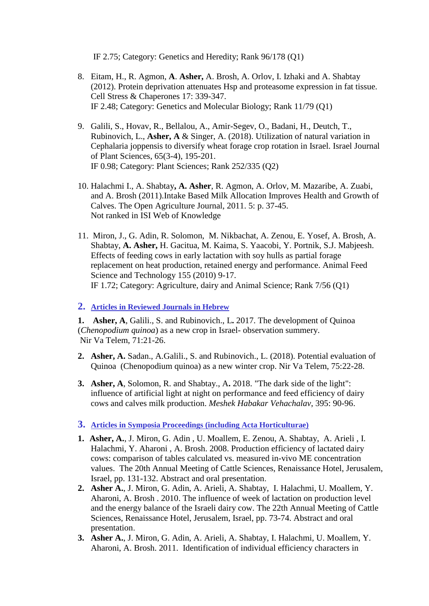IF 2.75; Category: Genetics and Heredity; Rank 96/178 (Q1)

- 8. Eitam, H., R. Agmon, **A**. **Asher,** A. Brosh, A. Orlov, I. Izhaki and A. Shabtay (2012). Protein deprivation attenuates Hsp and proteasome expression in fat tissue. Cell Stress & Chaperones 17: 339-347. IF 2.48; Category: Genetics and Molecular Biology; Rank 11/79 (Q1)
- 9. Galili, S., Hovav, R., Bellalou, A., Amir-Segev, O., Badani, H., Deutch, T., Rubinovich, L., **Asher, A** & Singer, A. (2018). Utilization of natural variation in Cephalaria joppensis to diversify wheat forage crop rotation in Israel. Israel Journal of Plant Sciences, 65(3-4), 195-201. IF 0.98; Category: Plant Sciences; Rank 252/335 (Q2)
- 10. Halachmi I., A. Shabtay**, A. Asher**, R. Agmon, A. Orlov, M. Mazaribe, A. Zuabi, and A. Brosh (2011).Intake Based Milk Allocation Improves Health and Growth of Calves. The Open Agriculture Journal, 2011. 5: p. 37-45. Not ranked in ISI Web of Knowledge
- 11. Miron, J., G. Adin, R. Solomon, M. Nikbachat, A. Zenou, E. Yosef, A. Brosh, A. Shabtay, **A. Asher,** H. Gacitua, M. Kaima, S. Yaacobi, Y. Portnik, S.J. Mabjeesh. Effects of feeding cows in early lactation with soy hulls as partial forage replacement on heat production, retained energy and performance. Animal Feed Science and Technology 155 (2010) 9-17. IF 1.72; Category: Agriculture, dairy and Animal Science; Rank 7/56 (Q1)

## **2. Articles in Reviewed Journals in Hebrew**

**1. Asher, A**, Galili., S. and Rubinovich., L**.** 2017. The development of Quinoa (*Chenopodium quinoa*) as a new crop in Israel- observation summery. Nir Va Telem, 71:21-26.

- **2. Asher, A.** Sadan., A.Galili., S. and Rubinovich., L. (2018). Potential evaluation of Quinoa (Chenopodium quinoa) as a new winter crop. Nir Va Telem, 75:22-28.
- **3. Asher, A**, Solomon, R. and Shabtay., A**.** 2018. "The dark side of the light": influence of artificial light at night on performance and feed efficiency of dairy cows and calves milk production. *Meshek Habakar Vehachalav*, 395: 90-96.
- **3. Articles in Symposia Proceedings (including Acta Horticulturae)**
- **1. Asher, A.**, J. Miron, G. Adin , U. Moallem, E. Zenou, A. Shabtay, A. Arieli , I. Halachmi, Y. Aharoni , A. Brosh. 2008. Production efficiency of lactated dairy cows: comparison of tables calculated vs. measured in-vivo ME concentration values. The 20th Annual Meeting of Cattle Sciences, Renaissance Hotel, Jerusalem, Israel, pp. 131-132. Abstract and oral presentation.
- **2. Asher A.**, J. Miron, G. Adin, A. Arieli, A. Shabtay, I. Halachmi, U. Moallem, Y. Aharoni, A. Brosh . 2010. The influence of week of lactation on production level and the energy balance of the Israeli dairy cow. The 22th Annual Meeting of Cattle Sciences, Renaissance Hotel, Jerusalem, Israel, pp. 73-74. Abstract and oral presentation.
- **3. Asher A.**, J. Miron, G. Adin, A. Arieli, A. Shabtay, I. Halachmi, U. Moallem, Y. Aharoni, A. Brosh. 2011. Identification of individual efficiency characters in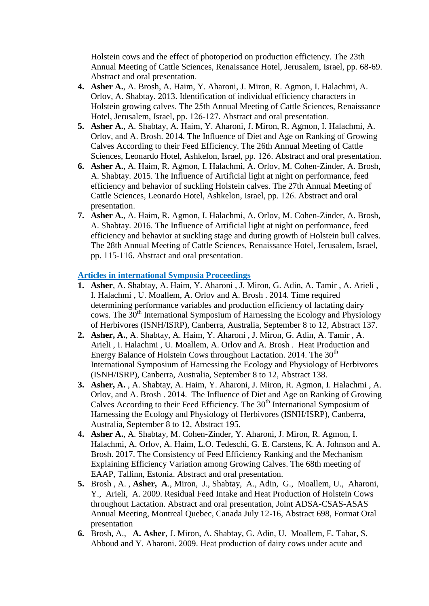Holstein cows and the effect of photoperiod on production efficiency. The 23th Annual Meeting of Cattle Sciences, Renaissance Hotel, Jerusalem, Israel, pp. 68-69. Abstract and oral presentation.

- **4. Asher A.**, A. Brosh, A. Haim, Y. Aharoni, J. Miron, R. Agmon, I. Halachmi, A. Orlov, A. Shabtay. 2013. Identification of individual efficiency characters in Holstein growing calves. The 25th Annual Meeting of Cattle Sciences, Renaissance Hotel, Jerusalem, Israel, pp. 126-127. Abstract and oral presentation.
- **5. Asher A.**, A. Shabtay, A. Haim, Y. Aharoni, J. Miron, R. Agmon, I. Halachmi, A. Orlov, and A. Brosh. 2014. The Influence of Diet and Age on Ranking of Growing Calves According to their Feed Efficiency. The 26th Annual Meeting of Cattle Sciences, Leonardo Hotel, Ashkelon, Israel, pp. 126. Abstract and oral presentation.
- **6. Asher A.**, A. Haim, R. Agmon, I. Halachmi, A. Orlov, M. Cohen-Zinder, A. Brosh, A. Shabtay. 2015. The Influence of Artificial light at night on performance, feed efficiency and behavior of suckling Holstein calves. The 27th Annual Meeting of Cattle Sciences, Leonardo Hotel, Ashkelon, Israel, pp. 126. Abstract and oral presentation.
- **7. Asher A.**, A. Haim, R. Agmon, I. Halachmi, A. Orlov, M. Cohen-Zinder, A. Brosh, A. Shabtay. 2016. The Influence of Artificial light at night on performance, feed efficiency and behavior at suckling stage and during growth of Holstein bull calves. The 28th Annual Meeting of Cattle Sciences, Renaissance Hotel, Jerusalem, Israel, pp. 115-116. Abstract and oral presentation.

## **Articles in international Symposia Proceedings**

- **1. Asher**, A. Shabtay, A. Haim, Y. Aharoni , J. Miron, G. Adin, A. Tamir , A. Arieli , I. Halachmi , U. Moallem, A. Orlov and A. Brosh . 2014. Time required determining performance variables and production efficiency of lactating dairy cows. The 30<sup>th</sup> International Symposium of Harnessing the Ecology and Physiology of Herbivores (ISNH/ISRP), Canberra, Australia, September 8 to 12, Abstract 137.
- **2. Asher, A.**, A. Shabtay, A. Haim, Y. Aharoni , J. Miron, G. Adin, A. Tamir , A. Arieli , I. Halachmi , U. Moallem, A. Orlov and A. Brosh . Heat Production and Energy Balance of Holstein Cows throughout Lactation. 2014. The 30<sup>th</sup> International Symposium of Harnessing the Ecology and Physiology of Herbivores (ISNH/ISRP), Canberra, Australia, September 8 to 12, Abstract 138.
- **3. Asher, A.** , A. Shabtay, A. Haim, Y. Aharoni, J. Miron, R. Agmon, I. Halachmi , A. Orlov, and A. Brosh . 2014. The Influence of Diet and Age on Ranking of Growing Calves According to their Feed Efficiency. The 30<sup>th</sup> International Symposium of Harnessing the Ecology and Physiology of Herbivores (ISNH/ISRP), Canberra, Australia, September 8 to 12, Abstract 195.
- **4. Asher A.**, A. Shabtay, M. Cohen-Zinder, Y. Aharoni, J. Miron, R. Agmon, I. Halachmi, A. Orlov, A. Haim, L.O. Tedeschi, G. E. Carstens, K. A. Johnson and A. Brosh. 2017. The Consistency of Feed Efficiency Ranking and the Mechanism Explaining Efficiency Variation among Growing Calves. The 68th meeting of EAAP, Tallinn, Estonia. Abstract and oral presentation.
- **5.** Brosh , A. , **Asher, A**., Miron, J., Shabtay, A., Adin, G., Moallem, U., Aharoni, Y., Arieli, A. 2009. Residual Feed Intake and Heat Production of Holstein Cows throughout Lactation. Abstract and oral presentation, Joint ADSA-CSAS-ASAS Annual Meeting, Montreal Quebec, Canada July 12-16, Abstract 698, Format Oral presentation
- **6.** Brosh, A., **A. Asher**, J. Miron, A. Shabtay, G. Adin, U. Moallem, E. Tahar, S. Abboud and Y. Aharoni. 2009. Heat production of dairy cows under acute and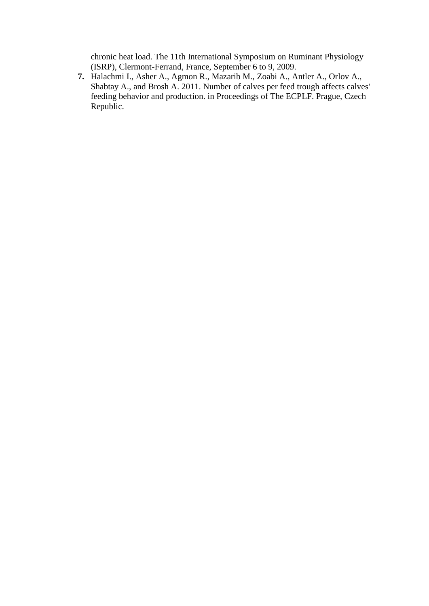chronic heat load. The 11th International Symposium on Ruminant Physiology (ISRP), Clermont-Ferrand, France, September 6 to 9, 2009.

**7.** Halachmi I., Asher A., Agmon R., Mazarib M., Zoabi A., Antler A., Orlov A., Shabtay A., and Brosh A. 2011. Number of calves per feed trough affects calves' feeding behavior and production. in Proceedings of The ECPLF. Prague, Czech Republic.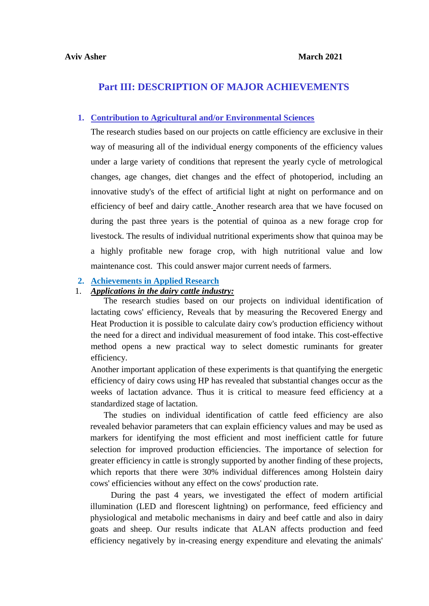## **Part III: DESCRIPTION OF MAJOR ACHIEVEMENTS**

## **1. Contribution to Agricultural and/or Environmental Sciences**

The research studies based on our projects on cattle efficiency are exclusive in their way of measuring all of the individual energy components of the efficiency values under a large variety of conditions that represent the yearly cycle of metrological changes, age changes, diet changes and the effect of photoperiod, including an innovative study's of the effect of artificial light at night on performance and on efficiency of beef and dairy cattle. Another research area that we have focused on during the past three years is the potential of quinoa as a new forage crop for livestock. The results of individual nutritional experiments show that quinoa may be a highly profitable new forage crop, with high nutritional value and low maintenance cost. This could answer major current needs of farmers.

### **2. Achievements in Applied Research**

## 1. *Applications in the dairy cattle industry:*

The research studies based on our projects on individual identification of lactating cows' efficiency, Reveals that by measuring the Recovered Energy and Heat Production it is possible to calculate dairy cow's production efficiency without the need for a direct and individual measurement of food intake. This cost-effective method opens a new practical way to select domestic ruminants for greater efficiency.

Another important application of these experiments is that quantifying the energetic efficiency of dairy cows using HP has revealed that substantial changes occur as the weeks of lactation advance. Thus it is critical to measure feed efficiency at a standardized stage of lactation.

The studies on individual identification of cattle feed efficiency are also revealed behavior parameters that can explain efficiency values and may be used as markers for identifying the most efficient and most inefficient cattle for future selection for improved production efficiencies. The importance of selection for greater efficiency in cattle is strongly supported by another finding of these projects, which reports that there were 30% individual differences among Holstein dairy cows' efficiencies without any effect on the cows' production rate.

During the past 4 years, we investigated the effect of modern artificial illumination (LED and florescent lightning) on performance, feed efficiency and physiological and metabolic mechanisms in dairy and beef cattle and also in dairy goats and sheep. Our results indicate that ALAN affects production and feed efficiency negatively by in-creasing energy expenditure and elevating the animals'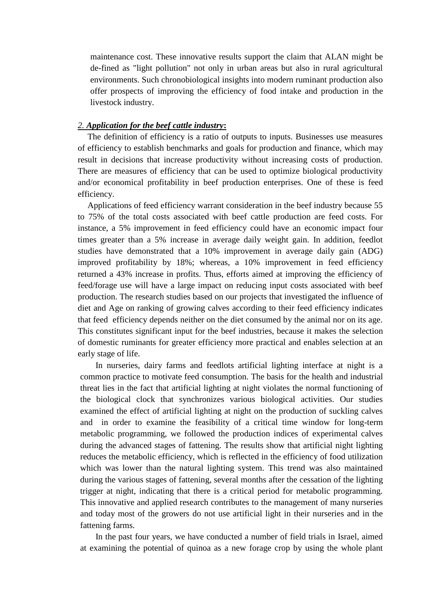maintenance cost. These innovative results support the claim that ALAN might be de-fined as "light pollution" not only in urban areas but also in rural agricultural environments. Such chronobiological insights into modern ruminant production also offer prospects of improving the efficiency of food intake and production in the livestock industry.

## *2. Application for the beef cattle industry***:**

The definition of efficiency is a ratio of outputs to inputs. Businesses use measures of efficiency to establish benchmarks and goals for production and finance, which may result in decisions that increase productivity without increasing costs of production. There are measures of efficiency that can be used to optimize biological productivity and/or economical profitability in beef production enterprises. One of these is feed efficiency.

Applications of feed efficiency warrant consideration in the beef industry because 55 to 75% of the total costs associated with beef cattle production are feed costs. For instance, a 5% improvement in feed efficiency could have an economic impact four times greater than a 5% increase in average daily weight gain. In addition, feedlot studies have demonstrated that a 10% improvement in average daily gain (ADG) improved profitability by 18%; whereas, a 10% improvement in feed efficiency returned a 43% increase in profits. Thus, efforts aimed at improving the efficiency of feed/forage use will have a large impact on reducing input costs associated with beef production. The research studies based on our projects that investigated the influence of diet and Age on ranking of growing calves according to their feed efficiency indicates that feed efficiency depends neither on the diet consumed by the animal nor on its age. This constitutes significant input for the beef industries, because it makes the selection of domestic ruminants for greater efficiency more practical and enables selection at an early stage of life.

In nurseries, dairy farms and feedlots artificial lighting interface at night is a common practice to motivate feed consumption. The basis for the health and industrial threat lies in the fact that artificial lighting at night violates the normal functioning of the biological clock that synchronizes various biological activities. Our studies examined the effect of artificial lighting at night on the production of suckling calves and in order to examine the feasibility of a critical time window for long-term metabolic programming, we followed the production indices of experimental calves during the advanced stages of fattening. The results show that artificial night lighting reduces the metabolic efficiency, which is reflected in the efficiency of food utilization which was lower than the natural lighting system. This trend was also maintained during the various stages of fattening, several months after the cessation of the lighting trigger at night, indicating that there is a critical period for metabolic programming. This innovative and applied research contributes to the management of many nurseries and today most of the growers do not use artificial light in their nurseries and in the fattening farms.

In the past four years, we have conducted a number of field trials in Israel, aimed at examining the potential of quinoa as a new forage crop by using the whole plant